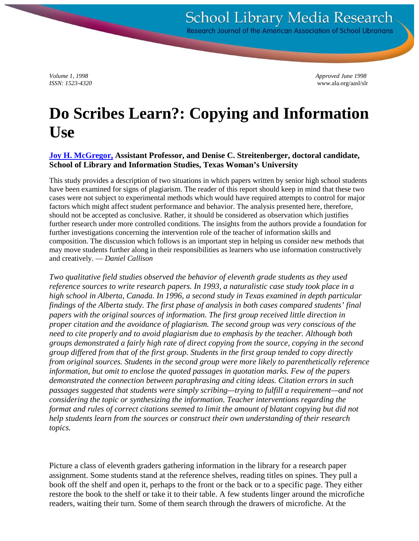*Volume 1, 1998 Approved June 1998 ISSN: 1523-4320* www.ala.org/aasl/slr

# **Do Scribes Learn?: Copying and Information Use**

#### **[Joy H. McGregor,](http://venus.twu.edu/~f_mcgregor) Assistant Professor, and Denise C. Streitenberger, doctoral candidate, School of Library and Information Studies, Texas Woman's University**

This study provides a description of two situations in which papers written by senior high school students have been examined for signs of plagiarism. The reader of this report should keep in mind that these two cases were not subject to experimental methods which would have required attempts to control for major factors which might affect student performance and behavior. The analysis presented here, therefore, should not be accepted as conclusive. Rather, it should be considered as observation which justifies further research under more controlled conditions. The insights from the authors provide a foundation for further investigations concerning the intervention role of the teacher of information skills and composition. The discussion which follows is an important step in helping us consider new methods that may move students further along in their responsibilities as learners who use information constructively and creatively. — *Daniel Callison*

*Two qualitative field studies observed the behavior of eleventh grade students as they used reference sources to write research papers. In 1993, a naturalistic case study took place in a high school in Alberta, Canada. In 1996, a second study in Texas examined in depth particular findings of the Alberta study. The first phase of analysis in both cases compared students' final papers with the original sources of information. The first group received little direction in proper citation and the avoidance of plagiarism. The second group was very conscious of the need to cite properly and to avoid plagiarism due to emphasis by the teacher. Although both groups demonstrated a fairly high rate of direct copying from the source, copying in the second group differed from that of the first group. Students in the first group tended to copy directly from original sources. Students in the second group were more likely to parenthetically reference information, but omit to enclose the quoted passages in quotation marks. Few of the papers demonstrated the connection between paraphrasing and citing ideas. Citation errors in such passages suggested that students were simply scribing—trying to fulfill a requirement—and not considering the topic or synthesizing the information. Teacher interventions regarding the format and rules of correct citations seemed to limit the amount of blatant copying but did not help students learn from the sources or construct their own understanding of their research topics.*

Picture a class of eleventh graders gathering information in the library for a research paper assignment. Some students stand at the reference shelves, reading titles on spines. They pull a book off the shelf and open it, perhaps to the front or the back or to a specific page. They either restore the book to the shelf or take it to their table. A few students linger around the microfiche readers, waiting their turn. Some of them search through the drawers of microfiche. At the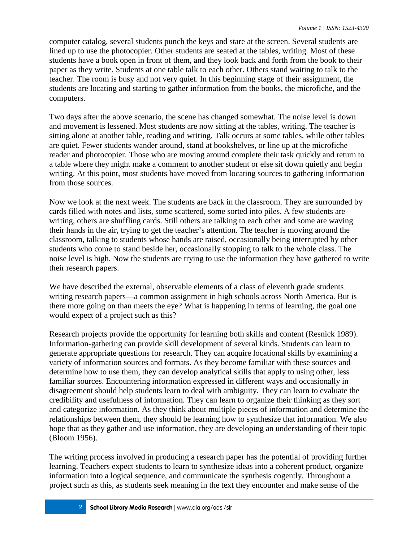computer catalog, several students punch the keys and stare at the screen. Several students are lined up to use the photocopier. Other students are seated at the tables, writing. Most of these students have a book open in front of them, and they look back and forth from the book to their paper as they write. Students at one table talk to each other. Others stand waiting to talk to the teacher. The room is busy and not very quiet. In this beginning stage of their assignment, the students are locating and starting to gather information from the books, the microfiche, and the computers.

Two days after the above scenario, the scene has changed somewhat. The noise level is down and movement is lessened. Most students are now sitting at the tables, writing. The teacher is sitting alone at another table, reading and writing. Talk occurs at some tables, while other tables are quiet. Fewer students wander around, stand at bookshelves, or line up at the microfiche reader and photocopier. Those who are moving around complete their task quickly and return to a table where they might make a comment to another student or else sit down quietly and begin writing. At this point, most students have moved from locating sources to gathering information from those sources.

Now we look at the next week. The students are back in the classroom. They are surrounded by cards filled with notes and lists, some scattered, some sorted into piles. A few students are writing, others are shuffling cards. Still others are talking to each other and some are waving their hands in the air, trying to get the teacher's attention. The teacher is moving around the classroom, talking to students whose hands are raised, occasionally being interrupted by other students who come to stand beside her, occasionally stopping to talk to the whole class. The noise level is high. Now the students are trying to use the information they have gathered to write their research papers.

We have described the external, observable elements of a class of eleventh grade students writing research papers—a common assignment in high schools across North America. But is there more going on than meets the eye? What is happening in terms of learning, the goal one would expect of a project such as this?

Research projects provide the opportunity for learning both skills and content (Resnick 1989). Information-gathering can provide skill development of several kinds. Students can learn to generate appropriate questions for research. They can acquire locational skills by examining a variety of information sources and formats. As they become familiar with these sources and determine how to use them, they can develop analytical skills that apply to using other, less familiar sources. Encountering information expressed in different ways and occasionally in disagreement should help students learn to deal with ambiguity. They can learn to evaluate the credibility and usefulness of information. They can learn to organize their thinking as they sort and categorize information. As they think about multiple pieces of information and determine the relationships between them, they should be learning how to synthesize that information. We also hope that as they gather and use information, they are developing an understanding of their topic (Bloom 1956).

The writing process involved in producing a research paper has the potential of providing further learning. Teachers expect students to learn to synthesize ideas into a coherent product, organize information into a logical sequence, and communicate the synthesis cogently. Throughout a project such as this, as students seek meaning in the text they encounter and make sense of the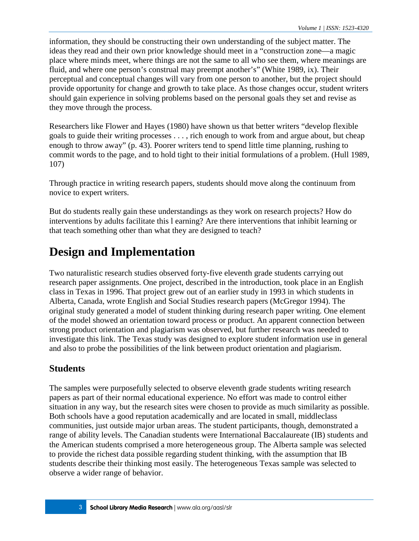information, they should be constructing their own understanding of the subject matter. The ideas they read and their own prior knowledge should meet in a "construction zone—a magic place where minds meet, where things are not the same to all who see them, where meanings are fluid, and where one person's construal may preempt another's" (White 1989, ix). Their perceptual and conceptual changes will vary from one person to another, but the project should provide opportunity for change and growth to take place. As those changes occur, student writers should gain experience in solving problems based on the personal goals they set and revise as they move through the process.

Researchers like Flower and Hayes (1980) have shown us that better writers "develop flexible goals to guide their writing processes . . . , rich enough to work from and argue about, but cheap enough to throw away" (p. 43). Poorer writers tend to spend little time planning, rushing to commit words to the page, and to hold tight to their initial formulations of a problem. (Hull 1989, 107)

Through practice in writing research papers, students should move along the continuum from novice to expert writers.

But do students really gain these understandings as they work on research projects? How do interventions by adults facilitate this l earning? Are there interventions that inhibit learning or that teach something other than what they are designed to teach?

## **Design and Implementation**

Two naturalistic research studies observed forty-five eleventh grade students carrying out research paper assignments. One project, described in the introduction, took place in an English class in Texas in 1996. That project grew out of an earlier study in 1993 in which students in Alberta, Canada, wrote English and Social Studies research papers (McGregor 1994). The original study generated a model of student thinking during research paper writing. One element of the model showed an orientation toward process or product. An apparent connection between strong product orientation and plagiarism was observed, but further research was needed to investigate this link. The Texas study was designed to explore student information use in general and also to probe the possibilities of the link between product orientation and plagiarism.

### **Students**

The samples were purposefully selected to observe eleventh grade students writing research papers as part of their normal educational experience. No effort was made to control either situation in any way, but the research sites were chosen to provide as much similarity as possible. Both schools have a good reputation academically and are located in small, middleclass communities, just outside major urban areas. The student participants, though, demonstrated a range of ability levels. The Canadian students were International Baccalaureate (IB) students and the American students comprised a more heterogeneous group. The Alberta sample was selected to provide the richest data possible regarding student thinking, with the assumption that IB students describe their thinking most easily. The heterogeneous Texas sample was selected to observe a wider range of behavior.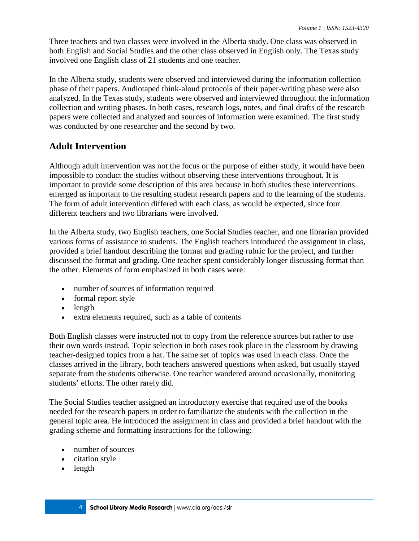Three teachers and two classes were involved in the Alberta study. One class was observed in both English and Social Studies and the other class observed in English only. The Texas study involved one English class of 21 students and one teacher.

In the Alberta study, students were observed and interviewed during the information collection phase of their papers. Audiotaped think-aloud protocols of their paper-writing phase were also analyzed. In the Texas study, students were observed and interviewed throughout the information collection and writing phases. In both cases, research logs, notes, and final drafts of the research papers were collected and analyzed and sources of information were examined. The first study was conducted by one researcher and the second by two.

#### **Adult Intervention**

Although adult intervention was not the focus or the purpose of either study, it would have been impossible to conduct the studies without observing these interventions throughout. It is important to provide some description of this area because in both studies these interventions emerged as important to the resulting student research papers and to the learning of the students. The form of adult intervention differed with each class, as would be expected, since four different teachers and two librarians were involved.

In the Alberta study, two English teachers, one Social Studies teacher, and one librarian provided various forms of assistance to students. The English teachers introduced the assignment in class, provided a brief handout describing the format and grading rubric for the project, and further discussed the format and grading. One teacher spent considerably longer discussing format than the other. Elements of form emphasized in both cases were:

- number of sources of information required
- formal report style
- length
- extra elements required, such as a table of contents

Both English classes were instructed not to copy from the reference sources but rather to use their own words instead. Topic selection in both cases took place in the classroom by drawing teacher-designed topics from a hat. The same set of topics was used in each class. Once the classes arrived in the library, both teachers answered questions when asked, but usually stayed separate from the students otherwise. One teacher wandered around occasionally, monitoring students' efforts. The other rarely did.

The Social Studies teacher assigned an introductory exercise that required use of the books needed for the research papers in order to familiarize the students with the collection in the general topic area. He introduced the assignment in class and provided a brief handout with the grading scheme and formatting instructions for the following:

- number of sources
- citation style
- length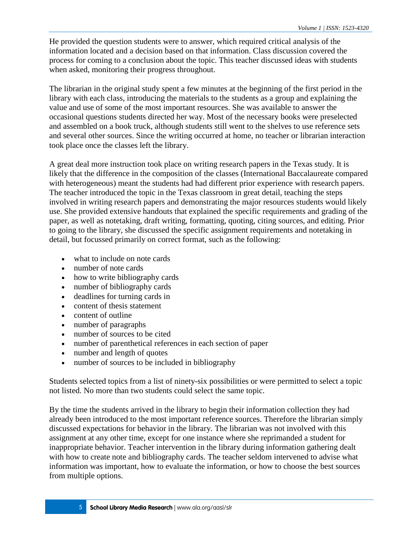He provided the question students were to answer, which required critical analysis of the information located and a decision based on that information. Class discussion covered the process for coming to a conclusion about the topic. This teacher discussed ideas with students when asked, monitoring their progress throughout.

The librarian in the original study spent a few minutes at the beginning of the first period in the library with each class, introducing the materials to the students as a group and explaining the value and use of some of the most important resources. She was available to answer the occasional questions students directed her way. Most of the necessary books were preselected and assembled on a book truck, although students still went to the shelves to use reference sets and several other sources. Since the writing occurred at home, no teacher or librarian interaction took place once the classes left the library.

A great deal more instruction took place on writing research papers in the Texas study. It is likely that the difference in the composition of the classes (International Baccalaureate compared with heterogeneous) meant the students had had different prior experience with research papers. The teacher introduced the topic in the Texas classroom in great detail, teaching the steps involved in writing research papers and demonstrating the major resources students would likely use. She provided extensive handouts that explained the specific requirements and grading of the paper, as well as notetaking, draft writing, formatting, quoting, citing sources, and editing. Prior to going to the library, she discussed the specific assignment requirements and notetaking in detail, but focussed primarily on correct format, such as the following:

- what to include on note cards
- number of note cards
- how to write bibliography cards
- number of bibliography cards
- deadlines for turning cards in
- content of thesis statement
- content of outline
- number of paragraphs
- number of sources to be cited
- number of parenthetical references in each section of paper
- number and length of quotes
- number of sources to be included in bibliography

Students selected topics from a list of ninety-six possibilities or were permitted to select a topic not listed. No more than two students could select the same topic.

By the time the students arrived in the library to begin their information collection they had already been introduced to the most important reference sources. Therefore the librarian simply discussed expectations for behavior in the library. The librarian was not involved with this assignment at any other time, except for one instance where she reprimanded a student for inappropriate behavior. Teacher intervention in the library during information gathering dealt with how to create note and bibliography cards. The teacher seldom intervened to advise what information was important, how to evaluate the information, or how to choose the best sources from multiple options.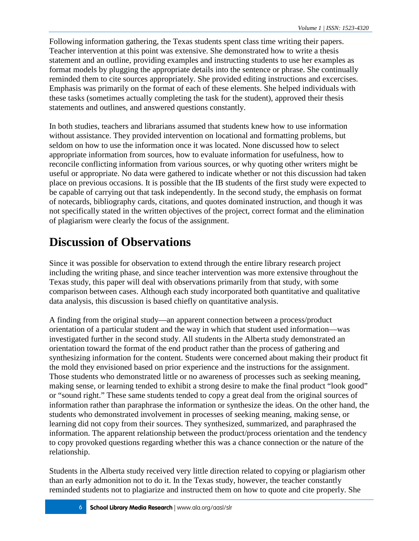Following information gathering, the Texas students spent class time writing their papers. Teacher intervention at this point was extensive. She demonstrated how to write a thesis statement and an outline, providing examples and instructing students to use her examples as format models by plugging the appropriate details into the sentence or phrase. She continually reminded them to cite sources appropriately. She provided editing instructions and excercises. Emphasis was primarily on the format of each of these elements. She helped individuals with these tasks (sometimes actually completing the task for the student), approved their thesis statements and outlines, and answered questions constantly.

In both studies, teachers and librarians assumed that students knew how to use information without assistance. They provided intervention on locational and formatting problems, but seldom on how to use the information once it was located. None discussed how to select appropriate information from sources, how to evaluate information for usefulness, how to reconcile conflicting information from various sources, or why quoting other writers might be useful or appropriate. No data were gathered to indicate whether or not this discussion had taken place on previous occasions. It is possible that the IB students of the first study were expected to be capable of carrying out that task independently. In the second study, the emphasis on format of notecards, bibliography cards, citations, and quotes dominated instruction, and though it was not specifically stated in the written objectives of the project, correct format and the elimination of plagiarism were clearly the focus of the assignment.

## **Discussion of Observations**

Since it was possible for observation to extend through the entire library research project including the writing phase, and since teacher intervention was more extensive throughout the Texas study, this paper will deal with observations primarily from that study, with some comparison between cases. Although each study incorporated both quantitative and qualitative data analysis, this discussion is based chiefly on quantitative analysis.

A finding from the original study—an apparent connection between a process/product orientation of a particular student and the way in which that student used information—was investigated further in the second study. All students in the Alberta study demonstrated an orientation toward the format of the end product rather than the process of gathering and synthesizing information for the content. Students were concerned about making their product fit the mold they envisioned based on prior experience and the instructions for the assignment. Those students who demonstrated little or no awareness of processes such as seeking meaning, making sense, or learning tended to exhibit a strong desire to make the final product "look good" or "sound right." These same students tended to copy a great deal from the original sources of information rather than paraphrase the information or synthesize the ideas. On the other hand, the students who demonstrated involvement in processes of seeking meaning, making sense, or learning did not copy from their sources. They synthesized, summarized, and paraphrased the information. The apparent relationship between the product/process orientation and the tendency to copy provoked questions regarding whether this was a chance connection or the nature of the relationship.

Students in the Alberta study received very little direction related to copying or plagiarism other than an early admonition not to do it. In the Texas study, however, the teacher constantly reminded students not to plagiarize and instructed them on how to quote and cite properly. She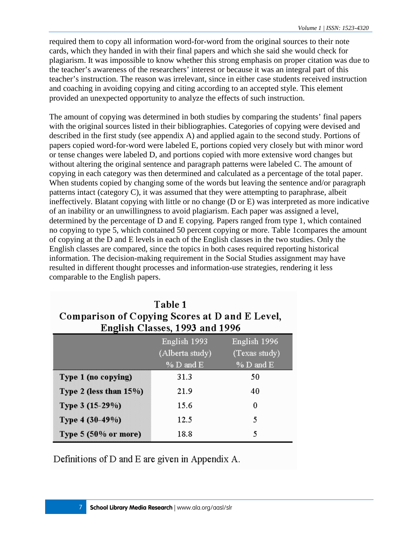required them to copy all information word-for-word from the original sources to their note cards, which they handed in with their final papers and which she said she would check for plagiarism. It was impossible to know whether this strong emphasis on proper citation was due to the teacher's awareness of the researchers' interest or because it was an integral part of this teacher's instruction. The reason was irrelevant, since in either case students received instruction and coaching in avoiding copying and citing according to an accepted style. This element provided an unexpected opportunity to analyze the effects of such instruction.

The amount of copying was determined in both studies by comparing the students' final papers with the original sources listed in their bibliographies. Categories of copying were devised and described in the first study (see appendix A) and applied again to the second study. Portions of papers copied word-for-word were labeled E, portions copied very closely but with minor word or tense changes were labeled D, and portions copied with more extensive word changes but without altering the original sentence and paragraph patterns were labeled C. The amount of copying in each category was then determined and calculated as a percentage of the total paper. When students copied by changing some of the words but leaving the sentence and/or paragraph patterns intact (category C), it was assumed that they were attempting to paraphrase, albeit ineffectively. Blatant copying with little or no change (D or E) was interpreted as more indicative of an inability or an unwillingness to avoid plagiarism. Each paper was assigned a level, determined by the percentage of D and E copying. Papers ranged from type 1, which contained no copying to type 5, which contained 50 percent copying or more. Table 1compares the amount of copying at the D and E levels in each of the English classes in the two studies. Only the English classes are compared, since the topics in both cases required reporting historical information. The decision-making requirement in the Social Studies assignment may have resulted in different thought processes and information-use strategies, rendering it less comparable to the English papers.

### Table 1 Comparison of Copying Scores at D and E Level, English Classes, 1993 and 1996

|                                | English 1993    | English 1996  |
|--------------------------------|-----------------|---------------|
|                                | (Alberta study) | (Texas study) |
|                                | $%$ D and E     | $% D$ and E   |
| Type 1 (no copying)            | 31.3            | 50            |
| Type 2 (less than $15\%$ )     | 21.9            | 40            |
| Type 3 (15-29%)                | 15.6            | 0             |
| Type 4 (30-49%)                | 12.5            | 5             |
| Type $5(50\% \text{ or more})$ | 18.8            | 5             |

Definitions of D and E are given in Appendix A.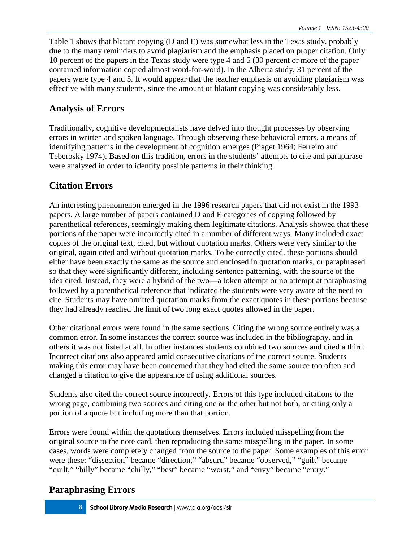Table 1 shows that blatant copying (D and E) was somewhat less in the Texas study, probably due to the many reminders to avoid plagiarism and the emphasis placed on proper citation. Only 10 percent of the papers in the Texas study were type 4 and 5 (30 percent or more of the paper contained information copied almost word-for-word). In the Alberta study, 31 percent of the papers were type 4 and 5. It would appear that the teacher emphasis on avoiding plagiarism was effective with many students, since the amount of blatant copying was considerably less.

### **Analysis of Errors**

Traditionally, cognitive developmentalists have delved into thought processes by observing errors in written and spoken language. Through observing these behavioral errors, a means of identifying patterns in the development of cognition emerges (Piaget 1964; Ferreiro and Teberosky 1974). Based on this tradition, errors in the students' attempts to cite and paraphrase were analyzed in order to identify possible patterns in their thinking.

### **Citation Errors**

An interesting phenomenon emerged in the 1996 research papers that did not exist in the 1993 papers. A large number of papers contained D and E categories of copying followed by parenthetical references, seemingly making them legitimate citations. Analysis showed that these portions of the paper were incorrectly cited in a number of different ways. Many included exact copies of the original text, cited, but without quotation marks. Others were very similar to the original, again cited and without quotation marks. To be correctly cited, these portions should either have been exactly the same as the source and enclosed in quotation marks, or paraphrased so that they were significantly different, including sentence patterning, with the source of the idea cited. Instead, they were a hybrid of the two—a token attempt or no attempt at paraphrasing followed by a parenthetical reference that indicated the students were very aware of the need to cite. Students may have omitted quotation marks from the exact quotes in these portions because they had already reached the limit of two long exact quotes allowed in the paper.

Other citational errors were found in the same sections. Citing the wrong source entirely was a common error. In some instances the correct source was included in the bibliography, and in others it was not listed at all. In other instances students combined two sources and cited a third. Incorrect citations also appeared amid consecutive citations of the correct source. Students making this error may have been concerned that they had cited the same source too often and changed a citation to give the appearance of using additional sources.

Students also cited the correct source incorrectly. Errors of this type included citations to the wrong page, combining two sources and citing one or the other but not both, or citing only a portion of a quote but including more than that portion.

Errors were found within the quotations themselves. Errors included misspelling from the original source to the note card, then reproducing the same misspelling in the paper. In some cases, words were completely changed from the source to the paper. Some examples of this error were these: "dissection" became "direction," "absurd" became "observed," "guilt" became "quilt," "hilly" became "chilly," "best" became "worst," and "envy" became "entry."

### **Paraphrasing Errors**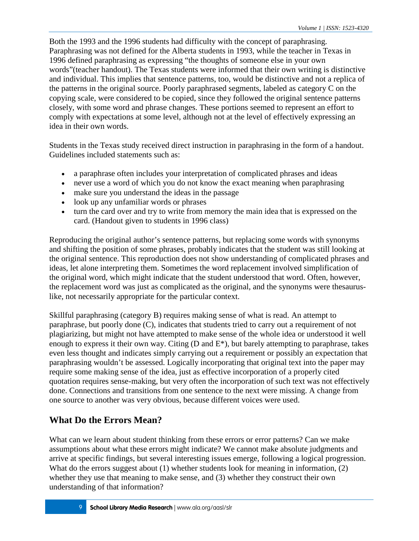Both the 1993 and the 1996 students had difficulty with the concept of paraphrasing. Paraphrasing was not defined for the Alberta students in 1993, while the teacher in Texas in 1996 defined paraphrasing as expressing "the thoughts of someone else in your own words"(teacher handout). The Texas students were informed that their own writing is distinctive and individual. This implies that sentence patterns, too, would be distinctive and not a replica of the patterns in the original source. Poorly paraphrased segments, labeled as category C on the copying scale, were considered to be copied, since they followed the original sentence patterns closely, with some word and phrase changes. These portions seemed to represent an effort to comply with expectations at some level, although not at the level of effectively expressing an idea in their own words.

Students in the Texas study received direct instruction in paraphrasing in the form of a handout. Guidelines included statements such as:

- a paraphrase often includes your interpretation of complicated phrases and ideas
- never use a word of which you do not know the exact meaning when paraphrasing
- make sure you understand the ideas in the passage
- look up any unfamiliar words or phrases
- turn the card over and try to write from memory the main idea that is expressed on the card. (Handout given to students in 1996 class)

Reproducing the original author's sentence patterns, but replacing some words with synonyms and shifting the position of some phrases, probably indicates that the student was still looking at the original sentence. This reproduction does not show understanding of complicated phrases and ideas, let alone interpreting them. Sometimes the word replacement involved simplification of the original word, which might indicate that the student understood that word. Often, however, the replacement word was just as complicated as the original, and the synonyms were thesauruslike, not necessarily appropriate for the particular context.

Skillful paraphrasing (category B) requires making sense of what is read. An attempt to paraphrase, but poorly done (C), indicates that students tried to carry out a requirement of not plagiarizing, but might not have attempted to make sense of the whole idea or understood it well enough to express it their own way. Citing (D and E\*), but barely attempting to paraphrase, takes even less thought and indicates simply carrying out a requirement or possibly an expectation that paraphrasing wouldn't be assessed. Logically incorporating that original text into the paper may require some making sense of the idea, just as effective incorporation of a properly cited quotation requires sense-making, but very often the incorporation of such text was not effectively done. Connections and transitions from one sentence to the next were missing. A change from one source to another was very obvious, because different voices were used.

### **What Do the Errors Mean?**

What can we learn about student thinking from these errors or error patterns? Can we make assumptions about what these errors might indicate? We cannot make absolute judgments and arrive at specific findings, but several interesting issues emerge, following a logical progression. What do the errors suggest about (1) whether students look for meaning in information, (2) whether they use that meaning to make sense, and (3) whether they construct their own understanding of that information?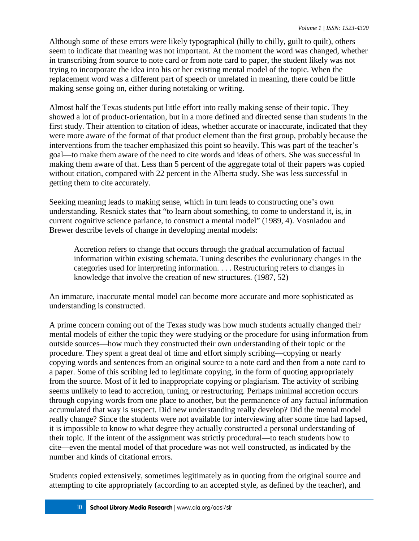Although some of these errors were likely typographical (hilly to chilly, guilt to quilt), others seem to indicate that meaning was not important. At the moment the word was changed, whether in transcribing from source to note card or from note card to paper, the student likely was not trying to incorporate the idea into his or her existing mental model of the topic. When the replacement word was a different part of speech or unrelated in meaning, there could be little making sense going on, either during notetaking or writing.

Almost half the Texas students put little effort into really making sense of their topic. They showed a lot of product-orientation, but in a more defined and directed sense than students in the first study. Their attention to citation of ideas, whether accurate or inaccurate, indicated that they were more aware of the format of that product element than the first group, probably because the interventions from the teacher emphasized this point so heavily. This was part of the teacher's goal—to make them aware of the need to cite words and ideas of others. She was successful in making them aware of that. Less than 5 percent of the aggregate total of their papers was copied without citation, compared with 22 percent in the Alberta study. She was less successful in getting them to cite accurately.

Seeking meaning leads to making sense, which in turn leads to constructing one's own understanding. Resnick states that "to learn about something, to come to understand it, is, in current cognitive science parlance, to construct a mental model" (1989, 4). Vosniadou and Brewer describe levels of change in developing mental models:

Accretion refers to change that occurs through the gradual accumulation of factual information within existing schemata. Tuning describes the evolutionary changes in the categories used for interpreting information. . . . Restructuring refers to changes in knowledge that involve the creation of new structures. (1987, 52)

An immature, inaccurate mental model can become more accurate and more sophisticated as understanding is constructed.

A prime concern coming out of the Texas study was how much students actually changed their mental models of either the topic they were studying or the procedure for using information from outside sources—how much they constructed their own understanding of their topic or the procedure. They spent a great deal of time and effort simply scribing—copying or nearly copying words and sentences from an original source to a note card and then from a note card to a paper. Some of this scribing led to legitimate copying, in the form of quoting appropriately from the source. Most of it led to inappropriate copying or plagiarism. The activity of scribing seems unlikely to lead to accretion, tuning, or restructuring. Perhaps minimal accretion occurs through copying words from one place to another, but the permanence of any factual information accumulated that way is suspect. Did new understanding really develop? Did the mental model really change? Since the students were not available for interviewing after some time had lapsed, it is impossible to know to what degree they actually constructed a personal understanding of their topic. If the intent of the assignment was strictly procedural—to teach students how to cite—even the mental model of that procedure was not well constructed, as indicated by the number and kinds of citational errors.

Students copied extensively, sometimes legitimately as in quoting from the original source and attempting to cite appropriately (according to an accepted style, as defined by the teacher), and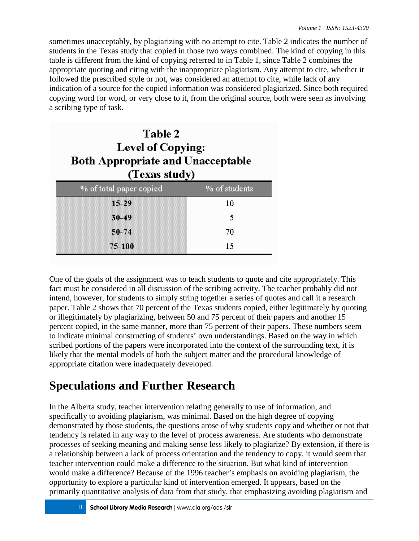sometimes unacceptably, by plagiarizing with no attempt to cite. Table 2 indicates the number of students in the Texas study that copied in those two ways combined. The kind of copying in this table is different from the kind of copying referred to in Table 1, since Table 2 combines the appropriate quoting and citing with the inappropriate plagiarism. Any attempt to cite, whether it followed the prescribed style or not, was considered an attempt to cite, while lack of any indication of a source for the copied information was considered plagiarized. Since both required copying word for word, or very close to it, from the original source, both were seen as involving a scribing type of task.

| Table 2<br><b>Level of Copying:</b><br><b>Both Appropriate and Unacceptable</b><br>(Texas study) |               |  |
|--------------------------------------------------------------------------------------------------|---------------|--|
| % of total paper copied                                                                          | % of students |  |
| $15 - 29$                                                                                        | 10            |  |
| $30 - 49$                                                                                        | 5             |  |
| $50 - 74$                                                                                        | 70            |  |
| 75-100                                                                                           | 15            |  |

One of the goals of the assignment was to teach students to quote and cite appropriately. This fact must be considered in all discussion of the scribing activity. The teacher probably did not intend, however, for students to simply string together a series of quotes and call it a research paper. Table 2 shows that 70 percent of the Texas students copied, either legitimately by quoting or illegitimately by plagiarizing, between 50 and 75 percent of their papers and another 15 percent copied, in the same manner, more than 75 percent of their papers. These numbers seem to indicate minimal constructing of students' own understandings. Based on the way in which scribed portions of the papers were incorporated into the context of the surrounding text, it is likely that the mental models of both the subject matter and the procedural knowledge of appropriate citation were inadequately developed.

## **Speculations and Further Research**

In the Alberta study, teacher intervention relating generally to use of information, and specifically to avoiding plagiarism, was minimal. Based on the high degree of copying demonstrated by those students, the questions arose of why students copy and whether or not that tendency is related in any way to the level of process awareness. Are students who demonstrate processes of seeking meaning and making sense less likely to plagiarize? By extension, if there is a relationship between a lack of process orientation and the tendency to copy, it would seem that teacher intervention could make a difference to the situation. But what kind of intervention would make a difference? Because of the 1996 teacher's emphasis on avoiding plagiarism, the opportunity to explore a particular kind of intervention emerged. It appears, based on the primarily quantitative analysis of data from that study, that emphasizing avoiding plagiarism and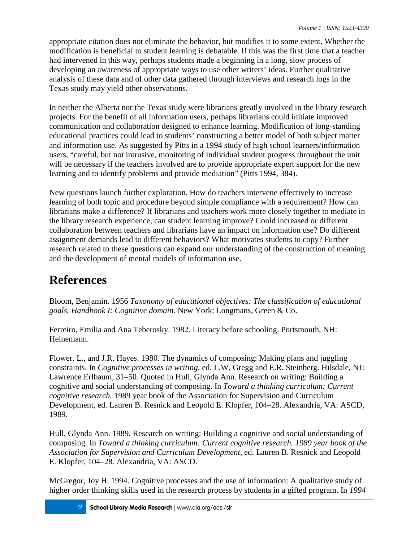appropriate citation does not eliminate the behavior, but modifies it to some extent. Whether the modification is beneficial to student learning is debatable. If this was the first time that a teacher had intervened in this way, perhaps students made a beginning in a long, slow process of developing an awareness of appropriate ways to use other writers' ideas. Further qualitative analysis of these data and of other data gathered through interviews and research logs in the Texas study may yield other observations.

In neither the Alberta nor the Texas study were librarians greatly involved in the library research projects. For the benefit of all information users, perhaps librarians could initiate improved communication and collaboration designed to enhance learning. Modification of long-standing educational practices could lead to students' constructing a better model of both subject matter and information use. As suggested by Pitts in a 1994 study of high school learners/information users, "careful, but not intrusive, monitoring of individual student progress throughout the unit will be necessary if the teachers involved are to provide appropriate expert support for the new learning and to identify problems and provide mediation" (Pitts 1994, 384).

New questions launch further exploration. How do teachers intervene effectively to increase learning of both topic and procedure beyond simple compliance with a requirement? How can librarians make a difference? If librarians and teachers work more closely together to mediate in the library research experience, can student learning improve? Could increased or different collaboration between teachers and librarians have an impact on information use? Do different assignment demands lead to different behaviors? What motivates students to copy? Further research related to these questions can expand our understanding of the construction of meaning and the development of mental models of information use.

## **References**

Bloom, Benjamin. 1956 *Taxonomy of educational objectives: The classification of educational goals. Handbook I: Cognitive domain.* New York: Longmans, Green & Co.

Ferreiro, Emilia and Ana Teberosky. 1982. Literacy before schooling. Portsmouth, NH: Heinemann.

Flower, L., and J.R. Hayes. 1980. The dynamics of composing: Making plans and juggling constraints. In *Cognitive processes in writing,* ed. L.W. Gregg and E.R. Steinberg. Hilsdale, NJ: Lawrence Erlbaum, 31–50. Quoted in Hull, Glynda Ann. Research on writing: Building a cognitive and social understanding of composing. In *Toward a thinking curriculum: Current cognitive research.* 1989 year book of the Association for Supervision and Curriculum Development, ed. Lauren B. Resnick and Leopold E. Klopfer, 104–28. Alexandria, VA: ASCD, 1989.

Hull, Glynda Ann. 1989. Research on writing: Building a cognitive and social understanding of composing. In *Toward a thinking curriculum: Current cognitive research. 1989 year book of the Association for Supervision and Curriculum Development,* ed. Lauren B. Resnick and Leopold E. Klopfer, 104–28. Alexandria, VA: ASCD.

McGregor, Joy H. 1994. Cognitive processes and the use of information: A qualitative study of higher order thinking skills used in the research process by students in a gifted program. In *1994*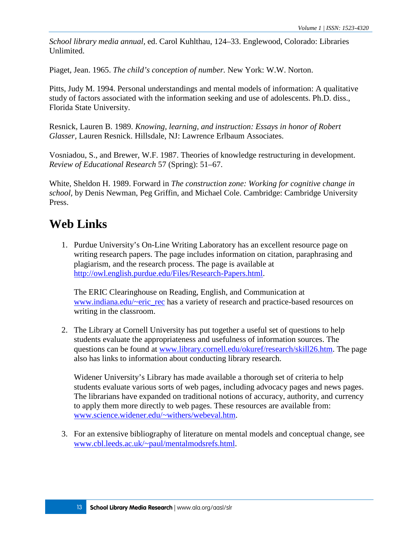*School library media annual,* ed. Carol Kuhlthau, 124–33. Englewood, Colorado: Libraries Unlimited.

Piaget, Jean. 1965. *The child's conception of number.* New York: W.W. Norton.

Pitts, Judy M. 1994. Personal understandings and mental models of information: A qualitative study of factors associated with the information seeking and use of adolescents. Ph.D. diss., Florida State University.

Resnick, Lauren B. 1989. *Knowing, learning, and instruction: Essays in honor of Robert Glasser,* Lauren Resnick. Hillsdale, NJ: Lawrence Erlbaum Associates.

Vosniadou, S., and Brewer, W.F. 1987. Theories of knowledge restructuring in development. *Review of Educational Research* 57 (Spring): 51–67.

White, Sheldon H. 1989. Forward in *The construction zone: Working for cognitive change in school,* by Denis Newman, Peg Griffin, and Michael Cole. Cambridge: Cambridge University Press.

### **Web Links**

1. Purdue University's On-Line Writing Laboratory has an excellent resource page on writing research papers. The page includes information on citation, paraphrasing and plagiarism, and the research process. The page is available at [http://owl.english.purdue.edu/Files/Research-Papers.html.](http://owl.english.purdue.edu/Files/Research-Papers.html)

The ERIC Clearinghouse on Reading, English, and Communication at [www.indiana.edu/~eric\\_rec](http://www.indiana.edu/~eric_rec) has a variety of research and practice-based resources on writing in the classroom.

2. The Library at Cornell University has put together a useful set of questions to help students evaluate the appropriateness and usefulness of information sources. The questions can be found at [www.library.cornell.edu/okuref/research/skill26.htm.](http://www.library.cornell.edu/okuref/research/skill26.htm) The page also has links to information about conducting library research.

Widener University's Library has made available a thorough set of criteria to help students evaluate various sorts of web pages, including advocacy pages and news pages. The librarians have expanded on traditional notions of accuracy, authority, and currency to apply them more directly to web pages. These resources are available from: [www.science.widener.edu/~withers/webeval.htm.](http://www.science.widener.edu/~withers/webeval.htm)

3. For an extensive bibliography of literature on mental models and conceptual change, see [www.cbl.leeds.ac.uk/~paul/mentalmodsrefs.html.](http://www.cbl.leeds.ac.uk/~paul/mentalmodsrefs.html)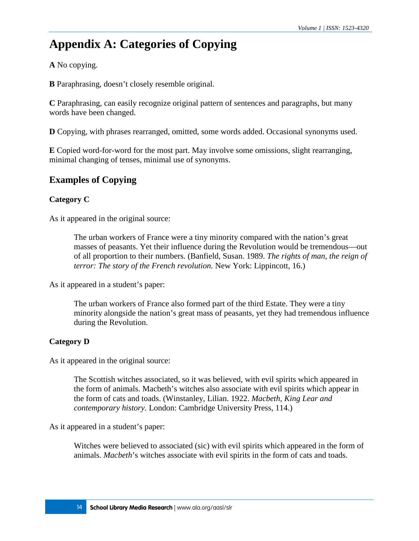## **Appendix A: Categories of Copying**

**A** No copying.

**B** Paraphrasing, doesn't closely resemble original.

**C** Paraphrasing, can easily recognize original pattern of sentences and paragraphs, but many words have been changed.

**D** Copying, with phrases rearranged, omitted, some words added. Occasional synonyms used.

**E** Copied word-for-word for the most part. May involve some omissions, slight rearranging, minimal changing of tenses, minimal use of synonyms.

### **Examples of Copying**

#### **Category C**

As it appeared in the original source:

The urban workers of France were a tiny minority compared with the nation's great masses of peasants. Yet their influence during the Revolution would be tremendous—out of all proportion to their numbers. (Banfield, Susan. 1989. *The rights of man, the reign of terror: The story of the French revolution.* New York: Lippincott, 16.)

As it appeared in a student's paper:

The urban workers of France also formed part of the third Estate. They were a tiny minority alongside the nation's great mass of peasants, yet they had tremendous influence during the Revolution.

#### **Category D**

As it appeared in the original source:

The Scottish witches associated, so it was believed, with evil spirits which appeared in the form of animals. Macbeth's witches also associate with evil spirits which appear in the form of cats and toads. (Winstanley, Lilian. 1922. *Macbeth, King Lear and contemporary history.* London: Cambridge University Press, 114.)

As it appeared in a student's paper:

Witches were believed to associated (sic) with evil spirits which appeared in the form of animals. *Macbeth*'s witches associate with evil spirits in the form of cats and toads.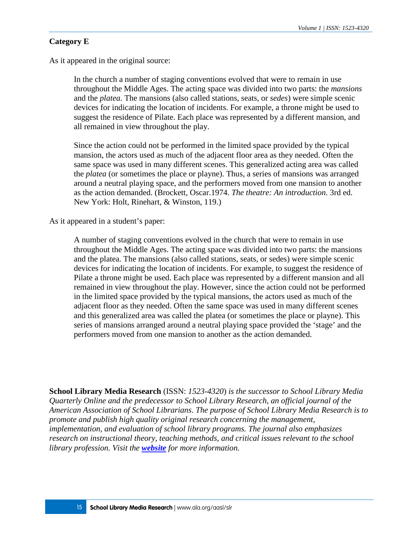#### **Category E**

As it appeared in the original source:

In the church a number of staging conventions evolved that were to remain in use throughout the Middle Ages. The acting space was divided into two parts: the *mansions* and the *platea*. The mansions (also called stations, seats, or *sedes*) were simple scenic devices for indicating the location of incidents. For example, a throne might be used to suggest the residence of Pilate. Each place was represented by a different mansion, and all remained in view throughout the play.

Since the action could not be performed in the limited space provided by the typical mansion, the actors used as much of the adjacent floor area as they needed. Often the same space was used in many different scenes. This generalized acting area was called the *platea* (or sometimes the place or playne). Thus, a series of mansions was arranged around a neutral playing space, and the performers moved from one mansion to another as the action demanded. (Brockett, Oscar.1974. *The theatre: An introduction.* 3rd ed. New York: Holt, Rinehart, & Winston, 119.)

As it appeared in a student's paper:

A number of staging conventions evolved in the church that were to remain in use throughout the Middle Ages. The acting space was divided into two parts: the mansions and the platea. The mansions (also called stations, seats, or sedes) were simple scenic devices for indicating the location of incidents. For example, to suggest the residence of Pilate a throne might be used. Each place was represented by a different mansion and all remained in view throughout the play. However, since the action could not be performed in the limited space provided by the typical mansions, the actors used as much of the adjacent floor as they needed. Often the same space was used in many different scenes and this generalized area was called the platea (or sometimes the place or playne). This series of mansions arranged around a neutral playing space provided the 'stage' and the performers moved from one mansion to another as the action demanded.

**School Library Media Research** (ISSN: *1523-4320*) *is the successor to School Library Media Quarterly Online and the predecessor to School Library Research, an official journal of the American Association of School Librarians*. *The purpose of School Library Media Research is to promote and publish high quality original research concerning the management, implementation, and evaluation of school library programs. The journal also emphasizes research on instructional theory, teaching methods, and critical issues relevant to the school library profession. Visit the [website](http://www.ala.org/aasl/slr) for more information.*